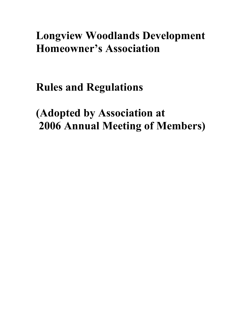# **Longview Woodlands Development Homeowner's Association**

**Rules and Regulations**

**(Adopted by Association at 2006 Annual Meeting of Members)**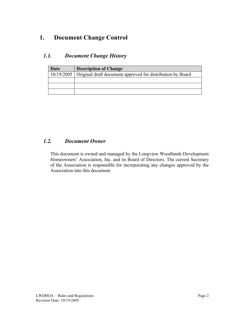# **1. Document Change Control**

## *1.1. Document Change History*

| Date | <b>Description of Change</b>                                            |  |
|------|-------------------------------------------------------------------------|--|
|      | 10/19/2005   Original draft document approved for distribution by Board |  |
|      |                                                                         |  |
|      |                                                                         |  |
|      |                                                                         |  |

#### *1.2. Document Owner*

This document is owned and managed by the Longview Woodlands Development Homeowners' Association, Inc. and its Board of Directors. The current Secretary of the Association is responsible for incorporating any changes approved by the Association into this document.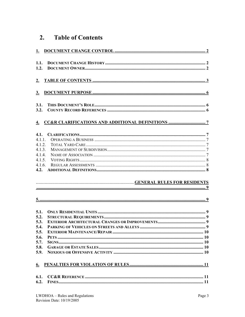#### **Table of Contents**  $2.$

| 1.                                                                                       |  |
|------------------------------------------------------------------------------------------|--|
| 1.1.<br>1.2.                                                                             |  |
| 2.                                                                                       |  |
| 3.                                                                                       |  |
| 3.1.<br>3.2.                                                                             |  |
|                                                                                          |  |
| 4.1.<br>4.1.1.<br>4.1.2.<br>4.1.3.<br>4.1.4.<br>4.1.5.<br>4.1.6.<br>4.2.                 |  |
|                                                                                          |  |
|                                                                                          |  |
|                                                                                          |  |
|                                                                                          |  |
| 5.1.<br>5.2.<br>5.3.<br>5.4.<br>5.5.<br>5.6.<br>5.7.<br>5.8.<br>5.9.<br>$\underline{6.}$ |  |
| 6.1.<br>6.2.                                                                             |  |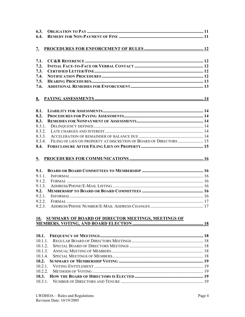| 6.4.<br>$\underline{7}$ .<br>7.1.<br>7.2.<br>7.3.<br>7.4.<br>7.5.<br>7.6.<br>8.1.<br>8.2.<br>8.3. |  |
|---------------------------------------------------------------------------------------------------|--|
|                                                                                                   |  |
|                                                                                                   |  |
|                                                                                                   |  |
|                                                                                                   |  |
|                                                                                                   |  |
|                                                                                                   |  |
|                                                                                                   |  |
|                                                                                                   |  |
|                                                                                                   |  |
|                                                                                                   |  |
|                                                                                                   |  |
|                                                                                                   |  |
|                                                                                                   |  |
|                                                                                                   |  |
|                                                                                                   |  |
| 8.3.1.                                                                                            |  |
| 8.3.2.                                                                                            |  |
| 8.3.3.                                                                                            |  |
| FILING OF LIEN ON PROPERTY AT DISCRETION OF BOARD OF DIRECTORS  15<br>8.3.4.                      |  |
| 8.4.                                                                                              |  |
|                                                                                                   |  |
|                                                                                                   |  |
| 9 <sub>1</sub>                                                                                    |  |
|                                                                                                   |  |
| 9.1.                                                                                              |  |
| 9.1.1.                                                                                            |  |
| 9.1.2.                                                                                            |  |
| 9.1.3.                                                                                            |  |
| 9.2.                                                                                              |  |
| 9.2.1.<br>9.2.2.                                                                                  |  |
| 9.2.3.                                                                                            |  |
|                                                                                                   |  |
|                                                                                                   |  |
| 10. SUMMARY OF BOARD OF DIRECTOR MEETINGS, MEETINGS OF                                            |  |
|                                                                                                   |  |
|                                                                                                   |  |
| 10.1.                                                                                             |  |
| 10.1.1.                                                                                           |  |
| 10.1.2.                                                                                           |  |
|                                                                                                   |  |
| 10.1.3.                                                                                           |  |
| 10.1.4.                                                                                           |  |
| 10.2.                                                                                             |  |
| 10.2.1.                                                                                           |  |
| 10.2.2.                                                                                           |  |
| 10.3.                                                                                             |  |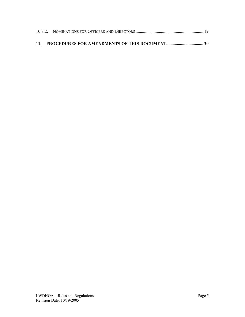| 11. PROCEDURES FOR AMENDMENTS OF THIS DOCUMENT 20 |  |
|---------------------------------------------------|--|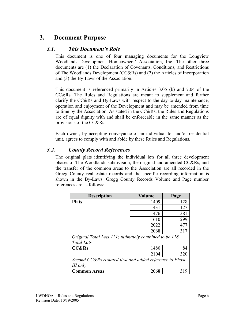# **3. Document Purpose**

#### *3.1. This Document's Role*

This document is one of four managing documents for the Longview Woodlands Development Homeowners' Association, Inc. The other three documents are (1) the Declaration of Covenants, Conditions, and Restrictions of The Woodlands Development (CC&Rs) and (2) the Articles of Incorporation and (3) the By-Laws of the Association.

This document is referenced primarily in Articles 3.05 (b) and 7.04 of the CC&Rs. The Rules and Regulations are meant to supplement and further clarify the CC&Rs and By-Laws with respect to the day-to-day maintenance, operation and enjoyment of the Development and may be amended from time to time by the Association. As stated in the CC&Rs, the Rules and Regulations are of equal dignity with and shall be enforceable in the same manner as the provisions of the CC&Rs.

Each owner, by accepting conveyance of an individual lot and/or residential unit, agrees to comply with and abide by these Rules and Regulations.

#### *3.2. County Record References*

The original plats identifying the individual lots for all three development phases of The Woodlands subdivision, the original and amended CC&Rs, and the transfer of the common areas to the Association are all recorded in the Gregg County real estate records and the specific recording information is shown in the By-Laws. Gregg County Records Volume and Page number references are as follows:

| <b>Description</b>                                       | Volume | Page |  |  |  |
|----------------------------------------------------------|--------|------|--|--|--|
| <b>Plats</b>                                             | 1409   | 128  |  |  |  |
|                                                          | 1431   | 127  |  |  |  |
|                                                          | 1476   | 381  |  |  |  |
|                                                          | 1610   | 299  |  |  |  |
|                                                          | 2022   | 477  |  |  |  |
|                                                          | 2068   | 317  |  |  |  |
| Original Total Lots 121; ultimately combined to be 118   |        |      |  |  |  |
| <b>Total Lots</b>                                        |        |      |  |  |  |
| <b>CC&amp;Rs</b>                                         | 1480   | 84   |  |  |  |
|                                                          | 2104   | 320  |  |  |  |
| Second CC&Rs restated first and added reference to Phase |        |      |  |  |  |
| III only                                                 |        |      |  |  |  |
| Common Areas                                             | 2068   | 319  |  |  |  |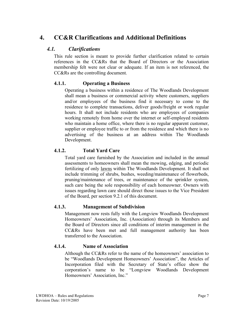# **4. CC&R Clarifications and Additional Definitions**

## *4.1. Clarifications*

This rule section is meant to provide further clarification related to certain references in the CC&Rs that the Board of Directors or the Association membership felt were not clear or adequate. If an item is not referenced, the CC&Rs are the controlling document.

## **4.1.1. Operating a Business**

Operating a business within a residence of The Woodlands Development shall mean a business or commercial activity where customers, suppliers and/or employees of the business find it necessary to come to the residence to complete transactions, deliver goods/freight or work regular hours. It shall not include residents who are employees of companies working remotely from home over the internet or self-employed residents who maintain a home office, where there is no regular apparent customer, supplier or employee traffic to or from the residence and which there is no advertising of the business at an address within The Woodlands Development.

## **4.1.2. Total Yard Care**

Total yard care furnished by the Association and included in the annual assessments to homeowners shall mean the mowing, edging, and periodic fertilizing of only lawns within The Woodlands Development. It shall not include trimming of shrubs, bushes, weeding/maintenance of flowerbeds, pruning/maintenance of trees, or maintenance of the sprinkler system, such care being the sole responsibility of each homeowner. Owners with issues regarding lawn care should direct those issues to the Vice President of the Board, per section 9.2.1 of this document.

## **4.1.3. Management of Subdivision**

Management now rests fully with the Longview Woodlands Development Homeowners' Association, Inc. (Association) through its Members and the Board of Directors since all conditions of interim management in the CC&Rs have been met and full management authority has been transferred to the Association.

## **4.1.4. Name of Association**

Although the CC&Rs refer to the name of the homeowners' association to be "Woodlands Development Homeowners' Association", the Articles of Incorporation filed with the Secretary of State's office show the corporation's name to be "Longview Woodlands Development Homeowners' Association, Inc."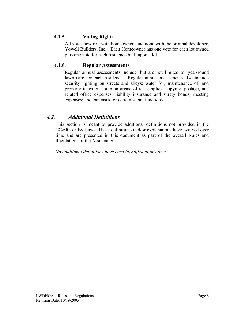#### **4.1.5. Voting Rights**

All votes now rest with homeowners and none with the original developer, Yowell Builders, Inc. Each Homeowner has one vote for each lot owned plus one vote for each residence built upon a lot.

#### **4.1.6. Regular Assessments**

Regular annual assessments include, but are not limited to, year-round lawn care for each residence. Regular annual assessments also include security lighting on streets and alleys; water for, maintenance of, and property taxes on common areas; office supplies, copying, postage, and related office expenses; liability insurance and surety bonds; meeting expenses; and expenses for certain social functions.

## *4.2. Additional Definitions*

This section is meant to provide additional definitions not provided in the CC&Rs or By-Laws. These definitions and/or explanations have evolved over time and are presented in this document as part of the overall Rules and Regulations of the Association.

*No additional definitions have been identified at this time.*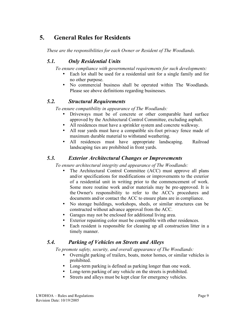# **5. General Rules for Residents**

*These are the responsibilities for each Owner or Resident of The Woodlands.*

# *5.1. Only Residential Units*

*To ensure compliance with governmental requirements for such developments:*

- Each lot shall be used for a residential unit for a single family and for no other purpose.
- No commercial business shall be operated within The Woodlands. Please see above definitions regarding businesses.

## *5.2. Structural Requirements*

*To ensure compatibility in appearance of The Woodlands:*

- Driveways must be of concrete or other comparable hard surface approved by the Architectural Control Committee, excluding asphalt.
- All residences must have a sprinkler system and concrete walkway.
- All rear yards must have a compatible six-foot privacy fence made of maximum durable material to withstand weathering.
- All residences must have appropriate landscaping. Railroad landscaping ties are prohibited in front yards.

# *5.3. Exterior Architectural Changes or Improvements*

*To ensure architectural integrity and appearance of The Woodlands:*

- The Architectural Control Committee (ACC) must approve all plans and/or specifications for modifications or improvements to the exterior of a residential unit in writing prior to the commencement of work. Some more routine work and/or materials may be pre-approved. It is the Owner's responsibility to refer to the ACC's procedures and documents and/or contact the ACC to ensure plans are in compliance.
- No storage buildings, workshops, sheds, or similar structures can be constructed without advance approval from the ACC.
- Garages may not be enclosed for additional living area.
- Exterior repainting color must be compatible with other residences.
- Each resident is responsible for cleaning up all construction litter in a timely manner.

# *5.4. Parking of Vehicles on Streets and Alleys*

*To promote safety, security, and overall appearance of The Woodlands:*

- Overnight parking of trailers, boats, motor homes, or similar vehicles is prohibited.
- Long-term parking is defined as parking longer than one week.
- Long-term parking of any vehicle on the streets is prohibited.
- Streets and alleys must be kept clear for emergency vehicles.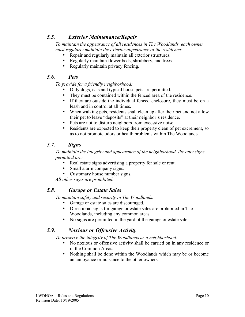# *5.5. Exterior Maintenance/Repair*

*To maintain the appearance of all residences in The Woodlands, each owner must regularly maintain the exterior appearance of the residence:*

- Repair and regularly maintain all exterior structures.
- Regularly maintain flower beds, shrubbery, and trees.
- Regularly maintain privacy fencing.

## *5.6. Pets*

*To provide for a friendly neighborhood:*

- Only dogs, cats and typical house pets are permitted.
- They must be contained within the fenced area of the residence.
- If they are outside the individual fenced enclosure, they must be on a leash and in control at all times.
- When walking pets, residents shall clean up after their pet and not allow their pet to leave "deposits" at their neighbor's residence.
- Pets are not to disturb neighbors from excessive noise.
- Residents are expected to keep their property clean of pet excrement, so as to not promote odors or health problems within The Woodlands.

## *5.7. Signs*

*To maintain the integrity and appearance of the neighborhood, the only signs permitted are:*

- Real estate signs advertising a property for sale or rent.
- Small alarm company signs.
- Customary house number signs.

*All other signs are prohibited.*

## *5.8. Garage or Estate Sales*

*To maintain safety and security in The Woodlands:*

- Garage or estate sales are discouraged.
- Directional signs for garage or estate sales are prohibited in The Woodlands, including any common areas.
- No signs are permitted in the yard of the garage or estate sale.

## *5.9. Noxious or Offensive Activity*

*To preserve the integrity of The Woodlands as a neighborhood:*

- No noxious or offensive activity shall be carried on in any residence or in the Common Areas.
- Nothing shall be done within the Woodlands which may be or become an annoyance or nuisance to the other owners.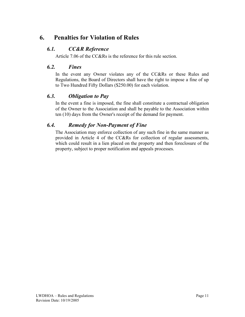# **6. Penalties for Violation of Rules**

# *6.1. CC&R Reference*

Article 7.06 of the CC&Rs is the reference for this rule section.

#### *6.2. Fines*

In the event any Owner violates any of the CC&Rs or these Rules and Regulations, the Board of Directors shall have the right to impose a fine of up to Two Hundred Fifty Dollars (\$250.00) for each violation.

## *6.3. Obligation to Pay*

In the event a fine is imposed, the fine shall constitute a contractual obligation of the Owner to the Association and shall be payable to the Association within ten (10) days from the Owner's receipt of the demand for payment.

## *6.4. Remedy for Non-Payment of Fine*

The Association may enforce collection of any such fine in the same manner as provided in Article 4 of the CC&Rs for collection of regular assessments, which could result in a lien placed on the property and then foreclosure of the property, subject to proper notification and appeals processes.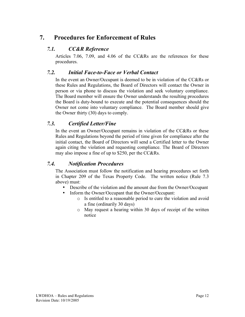# **7. Procedures for Enforcement of Rules**

## *7.1. CC&R Reference*

Articles 7.06, 7.09, and 4.06 of the CC&Rs are the references for these procedures.

#### *7.2. Initial Face-to-Face or Verbal Contact*

In the event an Owner/Occupant is deemed to be in violation of the CC&Rs or these Rules and Regulations, the Board of Directors will contact the Owner in person or via phone to discuss the violation and seek voluntary compliance. The Board member will ensure the Owner understands the resulting procedures the Board is duty-bound to execute and the potential consequences should the Owner not come into voluntary compliance. The Board member should give the Owner thirty (30) days to comply.

## *7.3. Certified Letter/Fine*

In the event an Owner/Occupant remains in violation of the CC&Rs or these Rules and Regulations beyond the period of time given for compliance after the initial contact, the Board of Directors will send a Certified letter to the Owner again citing the violation and requesting compliance. The Board of Directors may also impose a fine of up to \$250, per the CC&Rs.

## *7.4. Notification Procedures*

The Association must follow the notification and hearing procedures set forth in Chapter 209 of the Texas Property Code. The written notice (Rule 7.3 above) must:

- Describe of the violation and the amount due from the Owner/Occupant
- Inform the Owner/Occupant that the Owner/Occupant:
	- o Is entitled to a reasonable period to cure the violation and avoid a fine (ordinarily 30 days)
	- o May request a hearing within 30 days of receipt of the written notice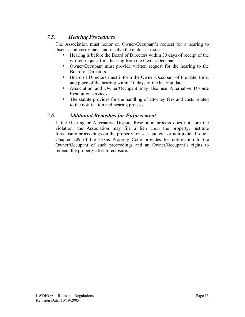# *7.5. Hearing Procedures*

The Association must honor on Owner/Occupant's request for a hearing to discuss and verify facts and resolve the matter at issue:

- Hearing is before the Board of Directors within 30 days of receipt of the written request for a hearing from the Owner/Occupant
- Owner/Occupant must provide written request for the hearing to the Board of Directors
- Board of Directors must inform the Owner/Occupant of the date, time, and place of the hearing within 10 days of the hearing date
- Association and Owner/Occupant may also use Alternative Dispute Resolution services
- The statute provides for the handling of attorney fees and costs related to the notification and hearing process

## *7.6. Additional Remedies for Enforcement*

If the Hearing or Alternative Dispute Resolution process does not cure the violation, the Association may file a lien upon the property, institute foreclosure proceedings on the property, or seek judicial or non-judicial relief. Chapter 209 of the Texas Property Code provides for notification to the Owner/Occupant of such proceedings and an Owner/Occupant's rights to redeem the property after foreclosure.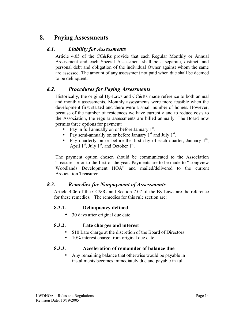# **8. Paying Assessments**

#### *8.1. Liability for Assessments*

Article 4.05 of the CC&Rs provide that each Regular Monthly or Annual Assessment and each Special Assessment shall be a separate, distinct, and personal debt and obligation of the individual Owner against whom the same are assessed. The amount of any assessment not paid when due shall be deemed to be delinquent.

#### *8.2. Procedures for Paying Assessments*

Historically, the original By-Laws and CC&Rs made reference to both annual and monthly assessments. Monthly assessments were more feasible when the development first started and there were a small number of homes. However, because of the number of residences we have currently and to reduce costs to the Association, the regular assessments are billed annually. The Board now permits three options for payment:

- Pay in full annually on or before January 1<sup>st</sup>.
- Pay semi-annually on or before January  $1<sup>st</sup>$  and July  $1<sup>st</sup>$ .
- Pay quarterly on or before the first day of each quarter, January  $1<sup>st</sup>$ , April  $1<sup>st</sup>$ , July  $1<sup>st</sup>$ , and October  $1<sup>st</sup>$ .

The payment option chosen should be communicated to the Association Treasurer prior to the first of the year. Payments are to be made to "Longview Woodlands Development HOA" and mailed/delivered to the current Association Treasurer.

## *8.3. Remedies for Nonpayment of Assessments*

Article 4.06 of the CC&Rs and Section 7.07 of the By-Laws are the reference for these remedies. The remedies for this rule section are:

#### **8.3.1. Delinquency defined**

• 30 days after original due date

#### **8.3.2. Late charges and interest**

- \$10 Late charge at the discretion of the Board of Directors
- 10% interest charge from original due date

#### **8.3.3. Acceleration of remainder of balance due**

• Any remaining balance that otherwise would be payable in installments becomes immediately due and payable in full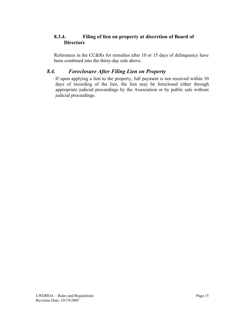#### **8.3.4. Filing of lien on property at discretion of Board of Directors**

References in the CC&Rs for remedies after 10 or 15 days of delinquency have been combined into the thirty-day rule above.

# *8.4. Foreclosure After Filing Lien on Property*

If upon applying a lien to the property, full payment is not received within 30 days of recording of the lien, the lien may be foreclosed either through appropriate judicial proceedings by the Association or by public sale without judicial proceedings.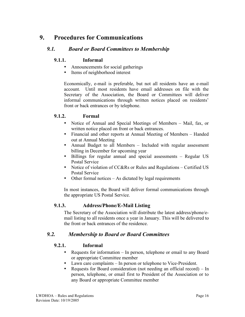# **9. Procedures for Communications**

#### *9.1. Board or Board Committees to Membership*

#### **9.1.1. Informal**

- Announcements for social gatherings
- Items of neighborhood interest

Economically, e-mail is preferable, but not all residents have an e-mail account. Until most residents have email addresses on file with the Secretary of the Association, the Board or Committees will deliver informal communications through written notices placed on residents' front or back entrances or by telephone.

#### **9.1.2. Formal**

- Notice of Annual and Special Meetings of Members Mail, fax, or written notice placed on front or back entrances.
- Financial and other reports at Annual Meeting of Members Handed out at Annual Meeting
- Annual Budget to all Members Included with regular assessment billing in December for upcoming year
- Billings for regular annual and special assessments Regular US Postal Service
- Notice of violation of CC&Rs or Rules and Regulations Certified US Postal Service
- Other formal notices As dictated by legal requirements

In most instances, the Board will deliver formal communications through the appropriate US Postal Service.

#### **9.1.3. Address/Phone/E-Mail Listing**

The Secretary of the Association will distribute the latest address/phone/email listing to all residents once a year in January. This will be delivered to the front or back entrances of the residence.

## *9.2. Membership to Board or Board Committees*

#### **9.2.1. Informal**

- Requests for information In person, telephone or email to any Board or appropriate Committee member
- Lawn care complaints In person or telephone to Vice-President.
- Requests for Board consideration (not needing an official record) In person, telephone, or email first to President of the Association or to any Board or appropriate Committee member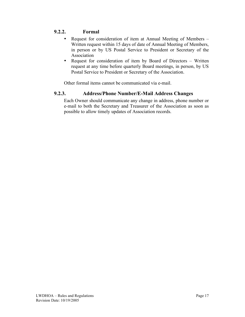#### **9.2.2. Formal**

- Request for consideration of item at Annual Meeting of Members Written request within 15 days of date of Annual Meeting of Members, in person or by US Postal Service to President or Secretary of the Association
- Request for consideration of item by Board of Directors Written request at any time before quarterly Board meetings, in person, by US Postal Service to President or Secretary of the Association.

Other formal items cannot be communicated via e-mail.

#### **9.2.3. Address/Phone Number/E-Mail Address Changes**

Each Owner should communicate any change in address, phone number or e-mail to both the Secretary and Treasurer of the Association as soon as possible to allow timely updates of Association records.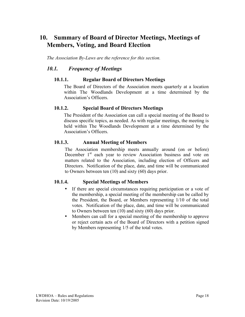# **10. Summary of Board of Director Meetings, Meetings of Members, Voting, and Board Election**

*The Association By-Laws are the reference for this section.*

#### *10.1. Frequency of Meetings*

#### **10.1.1. Regular Board of Directors Meetings**

The Board of Directors of the Association meets quarterly at a location within The Woodlands Development at a time determined by the Association's Officers.

#### **10.1.2. Special Board of Directors Meetings**

The President of the Association can call a special meeting of the Board to discuss specific topics, as needed. As with regular meetings, the meeting is held within The Woodlands Development at a time determined by the Association's Officers.

#### **10.1.3. Annual Meeting of Members**

The Association membership meets annually around (on or before) December 1<sup>st</sup> each year to review Association business and vote on matters related to the Association, including election of Officers and Directors. Notification of the place, date, and time will be communicated to Owners between ten (10) and sixty (60) days prior.

#### **10.1.4. Special Meetings of Members**

- If there are special circumstances requiring participation or a vote of the membership, a special meeting of the membership can be called by the President, the Board, or Members representing 1/10 of the total votes. Notification of the place, date, and time will be communicated to Owners between ten (10) and sixty (60) days prior.
- Members can call for a special meeting of the membership to approve or reject certain acts of the Board of Directors with a petition signed by Members representing 1/5 of the total votes.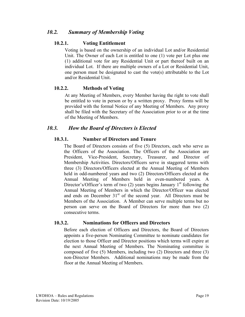## *10.2. Summary of Membership Voting*

#### **10.2.1. Voting Entitlement**

Voting is based on the ownership of an individual Lot and/or Residential Unit. The Owner of each Lot is entitled to one (1) vote per Lot plus one (1) additional vote for any Residential Unit or part thereof built on an individual Lot. If there are multiple owners of a Lot or Residential Unit, one person must be designated to cast the vote(s) attributable to the Lot and/or Residential Unit.

#### **10.2.2. Methods of Voting**

At any Meeting of Members, every Member having the right to vote shall be entitled to vote in person or by a written proxy. Proxy forms will be provided with the formal Notice of any Meeting of Members. Any proxy shall be filed with the Secretary of the Association prior to or at the time of the Meeting of Members.

## *10.3. How the Board of Directors is Elected*

#### **10.3.1. Number of Directors and Tenure**

The Board of Directors consists of five (5) Directors, each who serve as the Officers of the Association. The Officers of the Association are President, Vice-President, Secretary, Treasurer, and Director of Membership Activities. Directors/Officers serve in staggered terms with three (3) Directors/Officers elected at the Annual Meeting of Members held in odd-numbered years and two (2) Directors/Officers elected at the Annual Meeting of Members held in even-numbered years. A Director's/Officer's term of two  $(2)$  years begins January 1<sup>st</sup> following the Annual Meeting of Members in which the Director/Officer was elected and ends on December  $31<sup>st</sup>$  of the second year. All Directors must be Members of the Association. A Member can serve multiple terms but no person can serve on the Board of Directors for more than two (2) consecutive terms.

#### **10.3.2. Nominations for Officers and Directors**

Before each election of Officers and Directors, the Board of Directors appoints a five-person Nominating Committee to nominate candidates for election to those Officer and Director positions which terms will expire at the next Annual Meeting of Members. The Nominating committee is composed of five (5) Members, including two (2) Directors and three (3) non-Director Members. Additional nominations may be made from the floor at the Annual Meeting of Members.